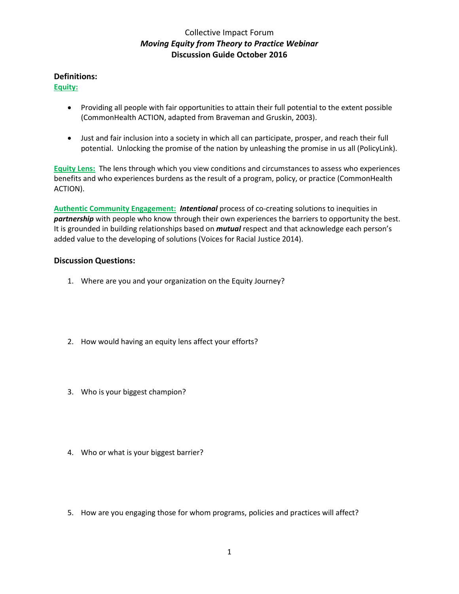## Collective Impact Forum *Moving Equity from Theory to Practice Webinar* **Discussion Guide October 2016**

#### **Definitions:**

### **Equity:**

- Providing all people with fair opportunities to attain their full potential to the extent possible (CommonHealth ACTION, adapted from Braveman and Gruskin, 2003).
- Just and fair inclusion into a society in which all can participate, prosper, and reach their full potential. Unlocking the promise of the nation by unleashing the promise in us all (PolicyLink).

**Equity Lens:** The lens through which you view conditions and circumstances to assess who experiences benefits and who experiences burdens as the result of a program, policy, or practice (CommonHealth ACTION).

**Authentic Community Engagement:** *Intentional* process of co-creating solutions to inequities in *partnership* with people who know through their own experiences the barriers to opportunity the best. It is grounded in building relationships based on *mutual* respect and that acknowledge each person's added value to the developing of solutions (Voices for Racial Justice 2014).

### **Discussion Questions:**

- 1. Where are you and your organization on the Equity Journey?
- 2. How would having an equity lens affect your efforts?
- 3. Who is your biggest champion?
- 4. Who or what is your biggest barrier?
- 5. How are you engaging those for whom programs, policies and practices will affect?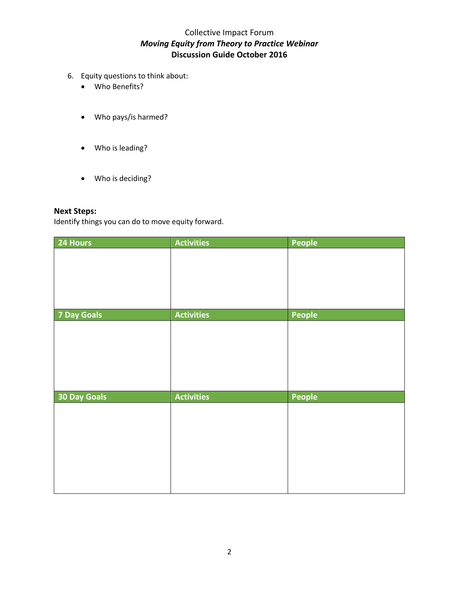# Collective Impact Forum *Moving Equity from Theory to Practice Webinar* **Discussion Guide October 2016**

- 6. Equity questions to think about:
	- Who Benefits?
	- Who pays/is harmed?
	- Who is leading?
	- Who is deciding?

# **Next Steps:**

Identify things you can do to move equity forward.

| 24 Hours            | <b>Activities</b> | People |
|---------------------|-------------------|--------|
|                     |                   |        |
|                     |                   |        |
|                     |                   |        |
|                     |                   |        |
|                     |                   |        |
| <b>7 Day Goals</b>  | <b>Activities</b> | People |
|                     |                   |        |
|                     |                   |        |
|                     |                   |        |
|                     |                   |        |
|                     |                   |        |
| <b>30 Day Goals</b> | <b>Activities</b> | People |
|                     |                   |        |
|                     |                   |        |
|                     |                   |        |
|                     |                   |        |
|                     |                   |        |
|                     |                   |        |
|                     |                   |        |